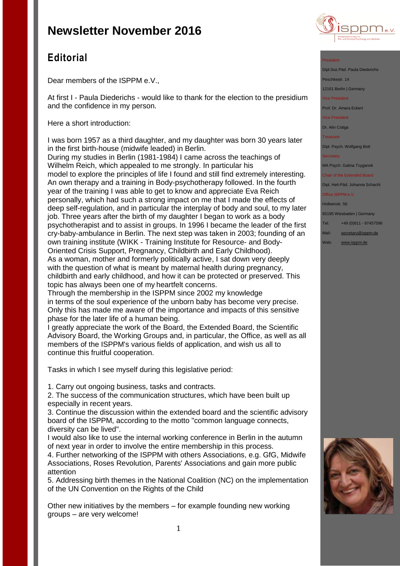

## **Editorial**

Dear members of the ISPPM e.V.,

At first I - Paula Diederichs - would like to thank for the election to the presidium and the confidence in my person.

Here a short introduction:

I was born 1957 as a third daughter, and my daughter was born 30 years later in the first birth-house (midwife leaded) in Berlin.

During my studies in Berlin (1981-1984) I came across the teachings of Wilhelm Reich, which appealed to me strongly. In particular his model to explore the principles of life I found and still find extremely interesting. An own therapy and a training in Body-psychotherapy followed. In the fourth year of the training I was able to get to know and appreciate Eva Reich personally, which had such a strong impact on me that I made the effects of deep self-regulation, and in particular the interplay of body and soul, to my later job. Three years after the birth of my daughter I began to work as a body psychotherapist and to assist in groups. In 1996 I became the leader of the first cry-baby-ambulance in Berlin. The next step was taken in 2003; founding of an own training institute (WIKK - Training Institute for Resource- and Body-Oriented Crisis Support, Pregnancy, Childbirth and Early Childhood). As a woman, mother and formerly politically active, I sat down very deeply with the question of what is meant by maternal health during pregnancy, childbirth and early childhood, and how it can be protected or preserved. This topic has always been one of my heartfelt concerns.

Through the membership in the ISPPM since 2002 my knowledge in terms of the soul experience of the unborn baby has become very precise. Only this has made me aware of the importance and impacts of this sensitive phase for the later life of a human being.

I greatly appreciate the work of the Board, the Extended Board, the Scientific Advisory Board, the Working Groups and, in particular, the Office, as well as all members of the ISPPM's various fields of application, and wish us all to continue this fruitful cooperation.

Tasks in which I see myself during this legislative period:

1. Carry out ongoing business, tasks and contracts.

2. The success of the communication structures, which have been built up especially in recent years.

3. Continue the discussion within the extended board and the scientific advisory board of the ISPPM, according to the motto "common language connects, diversity can be lived".

I would also like to use the internal working conference in Berlin in the autumn of next year in order to involve the entire membership in this process.

4. Further networking of the ISPPM with others Associations, e.g. GfG, Midwife Associations, Roses Revolution, Parents' Associations and gain more public attention

5. Addressing birth themes in the National Coalition (NC) on the implementation of the UN Convention on the Rights of the Child

Other new initiatives by the members – for example founding new working groups – are very welcome!

#### President

Dipl.Soz.Päd. Paula Diederichs

Peschkestr. 14

12161 Berlin | Germany Vice President

Prof. Dr. Amara Eckert

Vice President

Dr. Alin Cotiga

**Treasurer** 

Dipl. Psych. Wolfgang Bott

**Secretary** 

MA Psych. Galina Tcyganok

Chair of the Extended Board Dipl. Heil-Päd. Johanna Schacht

Office ISPPM e.V.

Holbeinstr. 56

65195 Wiesbaden | Germany

Tel: +49 (0)611 - 97457598

Mail: [secretary@isppm.de](mailto:secretary@isppm.de)

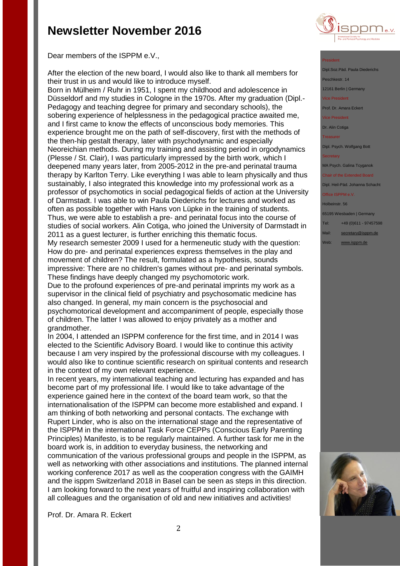

Dear members of the ISPPM e.V.,

After the election of the new board, I would also like to thank all members for their trust in us and would like to introduce myself.

Born in Mülheim / Ruhr in 1951, I spent my childhood and adolescence in Düsseldorf and my studies in Cologne in the 1970s. After my graduation (Dipl.- Pedagogy and teaching degree for primary and secondary schools), the sobering experience of helplessness in the pedagogical practice awaited me, and I first came to know the effects of unconscious body memories. This experience brought me on the path of self-discovery, first with the methods of the then-hip gestalt therapy, later with psychodynamic and especially Neoreichian methods. During my training and assisting period in orgodynamics (Plesse / St. Clair), I was particularly impressed by the birth work, which I deepened many years later, from 2005-2012 in the pre-and perinatal trauma therapy by Karlton Terry. Like everything I was able to learn physically and thus sustainably, I also integrated this knowledge into my professional work as a professor of psychomotics in social pedagogical fields of action at the University of Darmstadt. I was able to win Paula Diederichs for lectures and worked as often as possible together with Hans von Lüpke in the training of students. Thus, we were able to establish a pre- and perinatal focus into the course of studies of social workers. Alin Cotiga, who joined the University of Darmstadt in 2011 as a guest lecturer, is further enriching this thematic focus. My research semester 2009 I used for a hermeneutic study with the question: How do pre- and perinatal experiences express themselves in the play and movement of children? The result, formulated as a hypothesis, sounds impressive: There are no children's games without pre- and perinatal symbols. These findings have deeply changed my psychomotoric work.

Due to the profound experiences of pre-and perinatal imprints my work as a supervisor in the clinical field of psychiatry and psychosomatic medicine has also changed. In general, my main concern is the psychosocial and psychomotorical development and accompaniment of people, especially those of children. The latter I was allowed to enjoy privately as a mother and grandmother.

In 2004, I attended an ISPPM conference for the first time, and in 2014 I was elected to the Scientific Advisory Board. I would like to continue this activity because I am very inspired by the professional discourse with my colleagues. I would also like to continue scientific research on spiritual contents and research in the context of my own relevant experience.

In recent years, my international teaching and lecturing has expanded and has become part of my professional life. I would like to take advantage of the experience gained here in the context of the board team work, so that the internationalisation of the ISPPM can become more established and expand. I am thinking of both networking and personal contacts. The exchange with Rupert Linder, who is also on the international stage and the representative of the ISPPM in the international Task Force CEPPs (Conscious Early Parenting Principles) Manifesto, is to be regularly maintained. A further task for me in the board work is, in addition to everyday business, the networking and communication of the various professional groups and people in the ISPPM, as well as networking with other associations and institutions. The planned internal working conference 2017 as well as the cooperation congress with the GAIMH and the isppm Switzerland 2018 in Basel can be seen as steps in this direction. I am looking forward to the next years of fruitful and inspiring collaboration with all colleagues and the organisation of old and new initiatives and activities!

Prof. Dr. Amara R. Eckert

### President

Dipl.Soz.Päd. Paula Died Peschkestr. 14 12161 Berlin | Germany

Vice President

Prof. Dr. Amara Eckert

Vice President

Dr. Alin Cotiga

**Treasurer** 

Dipl. Psych. Wolfgang Bott

MA Psych. Galina Tcyganok

Chair of the Extended Board Dipl. Heil-Päd. Johanna Schacht

Office ISPPM e.V.

Holbeinstr. 56

65195 Wiesbaden | Germany

Tel: +49 (0)611 - 97457598

Mail: [secretary@isppm.de](mailto:secretary@isppm.de)

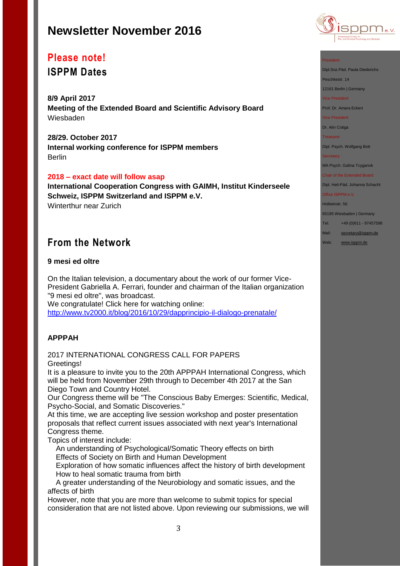

# **Please note!**

**ISPPM Dates**

**8/9 April 2017 Meeting of the Extended Board and Scientific Advisory Board** Wiesbaden

**28/29. October 2017 Internal working conference for ISPPM members** Berlin

### **2018 – exact date will follow asap**

**International Cooperation Congress with GAIMH, Institut Kinderseele Schweiz, ISPPM Switzerland and ISPPM e.V.** Winterthur near Zurich

## **From the Network**

### **9 mesi ed oltre**

On the Italian television, a documentary about the work of our former Vice-President Gabriella A. Ferrari, founder and chairman of the Italian organization "9 mesi ed oltre", was broadcast.

We congratulate! Click here for watching online: <http://www.tv2000.it/blog/2016/10/29/dapprincipio-il-dialogo-prenatale/>

### **APPPAH**

### 2017 INTERNATIONAL CONGRESS CALL FOR PAPERS Greetings!

It is a pleasure to invite you to the 20th APPPAH International Congress, which will be held from November 29th through to December 4th 2017 at the San Diego Town and Country Hotel.

Our Congress theme will be "The Conscious Baby Emerges: Scientific, Medical, Psycho-Social, and Somatic Discoveries."

At this time, we are accepting live session workshop and poster presentation proposals that reflect current issues associated with next year's International Congress theme.

Topics of interest include:

 An understanding of Psychological/Somatic Theory effects on birth Effects of Society on Birth and Human Development

 Exploration of how somatic influences affect the history of birth development How to heal somatic trauma from birth

 A greater understanding of the Neurobiology and somatic issues, and the affects of birth

However, note that you are more than welcome to submit topics for special consideration that are not listed above. Upon reviewing our submissions, we will Dipl.Soz.Päd. Paula Diederichs

Peschkestr. 14

12161 Berlin | Germany

Vice President

Prof. Dr. Amara Eckert

Vice President

Dr. Alin Cotiga

**Treasurer** 

Dipl. Psych. Wolfgang Bott

#### **Secretary**

MA Psych. Galina Tcyganok

Chair of the Extended Board Dipl. Heil-Päd. Johanna Schacht

### Office ISPPM e.V.

Holbeinstr. 56

65195 Wiesbaden | Germany

Tel: +49 (0)611 - 97457598

Mail: [secretary@isppm.de](mailto:secretary@isppm.de)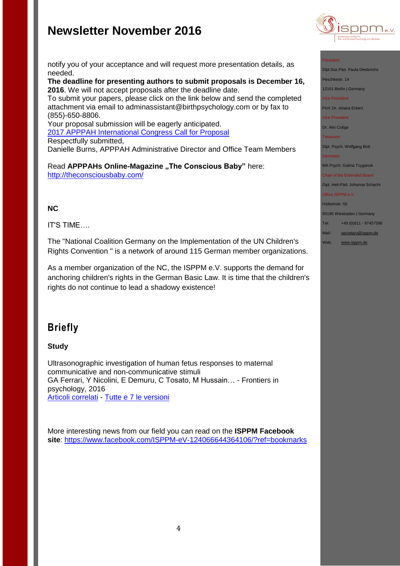

#### President

Dipl.Soz.Päd. Paula Diederichs

Peschkestr. 14

12161 Berlin | Germany

Vice President

Prof. Dr. Amara Eckert

Vice President

Dr. Alin Cotiga

**Treasurer** 

Dipl. Psych. Wolfgang Bott

#### **Secretary**

MA Psych. Galina Tcyganok

Chair of the Extended Board Dipl. Heil-Päd. Johanna Schacht

#### Office ISPPM e.V.

Holbeinstr. 56

65195 Wiesbaden | Germany

Tel: +49 (0)611 - 97457598

- Mail: [secretary@isppm.de](mailto:secretary@isppm.de)
- Web: [www.isppm.de](http://www.isppm.de/)

notify you of your acceptance and will request more presentation details, as needed.

**The deadline for presenting authors to submit proposals is December 16, 2016**. We will not accept proposals after the deadline date.

To submit your papers, please click on the link below and send the completed attachment via email to adminassistant@birthpsychology.com or by fax to (855)-650-8806.

Your proposal submission will be eagerly anticipated. [2017 APPPAH International Congress Call for Proposal](http://r20.rs6.net/tn.jsp?f=001UWRmUhnWe2jnCbBWiaDRSxJoY9SKAG7SwuVAHb9bqUi8-5r8Mmjtovzf5S3Rln_xs8GocSzBJb1ZtnzG0FDMMhQtqNZWSf_atuH5RQGnc1YoPn91uSoMCMwYmsxWLnU7McjeGV1wweXA6e1o5NR79zXPOee7-398GYMMvWAr10P9kdA_dndVfusNCKeUAGoQpCrdtneDbIrdX3-wyqlOgpMgV-iLaqC-79k19pwpVgTnOjSNv7yaCIUNdWa_RjoF&c=O4biFIEx0miAnPS0Q7WLiXHvjia4Vai7Rzqc-lS61dZJKfEPFaiM1g==&ch=HxDc_SzuVH9TjlIROC5d5ZxbAeo5HoVejQ8pSIWGB03jYBw0_V_dbA==) Respectfully submitted, Danielle Burns, APPPAH Administrative Director and Office Team Members

Read APPPAHs Online-Magazine "The Conscious Baby" here: <http://theconsciousbaby.com/>

### **NC**

IT'S TIME….

The "National Coalition Germany on the Implementation of the UN Children's Rights Convention " is a network of around 115 German member organizations.

As a member organization of the NC, the ISPPM e.V. supports the demand for anchoring children's rights in the German Basic Law. It is time that the children's rights do not continue to lead a shadowy existence!

## **Briefly**

**Study**

Ultrasonographic investigation of human fetus responses to maternal communicative and non-communicative stimuli GA Ferrari, Y Nicolini, E Demuru, C Tosato, M Hussain… - Frontiers in psychology, 2016 [Articoli correlati](http://scholar.google.it/scholar?oi=bibs&hl=it&q=related:BpAFY5WXDwgJ:scholar.google.com/) - [Tutte e 7 le versioni](http://scholar.google.it/scholar?oi=bibs&hl=it&cluster=580849544821313542)

More interesting news from our field you can read on the **ISPPM Facebook site**:<https://www.facebook.com/ISPPM-eV-124066644364106/?ref=bookmarks>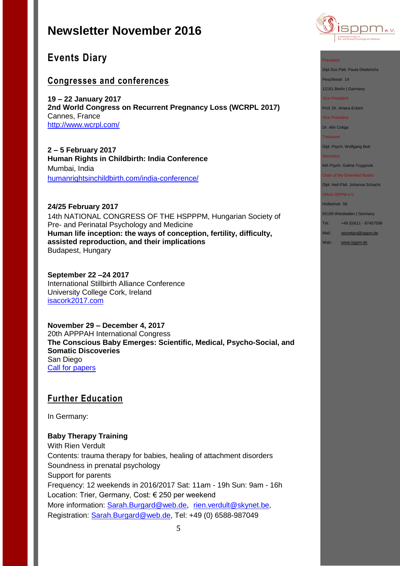

## **Events Diary**

### **Congresses and conferences**

**19 – 22 January 2017 2nd World Congress on Recurrent Pregnancy Loss (WCRPL 2017)** Cannes, France <http://www.wcrpl.com/>

**2 – 5 February 2017 Human Rights in Childbirth: India Conference** Mumbai, India [humanrightsinchildbirth.com/india-conference/](http://humanrightsinchildbirth.com/india-conference/)

### **24/25 February 2017**

14th NATIONAL CONGRESS OF THE HSPPPM, Hungarian Society of Pre- and Perinatal Psychology and Medicine **Human life inception: the ways of conception, fertility, difficulty, assisted reproduction, and their implications**  Budapest, Hungary

**September 22 –24 2017** International Stillbirth Alliance Conference University College Cork, Ireland [isacork2017.com](http://stillbirthalliance.us6.list-manage.com/track/click?u=811549f73d7f344e10a813f47&id=ca40d537d4&e=19741be71a)

**November 29 – December 4, 2017** 20th APPPAH International Congress **The Conscious Baby Emerges: Scientific, Medical, Psycho-Social, and Somatic Discoveries** San Diego [Call for papers](http://files.constantcontact.com/fb3f85b9001/8582d975-a8a5-4b7d-881a-07d043a425fc.pdf) 

### **Further Education**

In Germany:

### **Baby Therapy Training**

With Rien Verdult Contents: trauma therapy for babies, healing of attachment disorders Soundness in prenatal psychology Support for parents Frequency: 12 weekends in 2016/2017 Sat: 11am - 19h Sun: 9am - 16h Location: Trier, Germany, Cost: € 250 per weekend More information: [Sarah.Burgard@web.de](mailto:Sarah.Burgard@web.de), [rien.verdult@skynet.be,](mailto:rien.verdult@skynet.be) Registration: [Sarah.Burgard@web.de,](mailto:Sarah.Burgard@web.de) Tel: +49 (0) 6588-987049

President

Dipl.Soz.Päd. Paula Diederichs

Peschkestr. 14

12161 Berlin | Germany

Vice President

Prof. Dr. Amara Eckert

Vice President

Dr. Alin Cotiga

**Treasurer** 

Dipl. Psych. Wolfgang Bott

**Secretary** 

MA Psych. Galina Tcyganok

Chair of the Extended Board Dipl. Heil-Päd. Johanna Schacht

Office ISPPM e.V.

Holbeinstr. 56

65195 Wiesbaden | Germany

Tel: +49 (0)611 - 97457598

Mail: [secretary@isppm.de](mailto:secretary@isppm.de)

Web: [www.isppm.de](http://www.isppm.de/)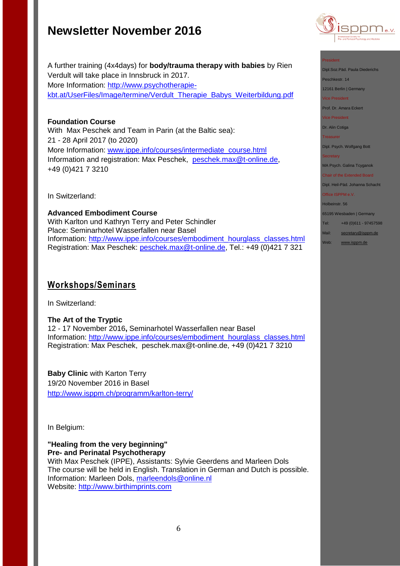

#### President

Dipl.Soz.Päd. Paula Diederichs

Peschkestr. 14

12161 Berlin | Germany

Vice President

Prof. Dr. Amara Eckert

Vice President

Dr. Alin Cotiga

Treasurer

Dipl. Psych. Wolfgang Bott

**Secretary** 

MA Psych. Galina Tcyganok

Chair of the Extended Board Dipl. Heil-Päd. Johanna Schacht

Office ISPPM e.V.

Holbeinstr. 56

65195 Wiesbaden | Germany

Tel: +49 (0)611 - 97457598

Mail: [secretary@isppm.de](mailto:secretary@isppm.de)

Web: [www.isppm.de](http://www.isppm.de/)

### A further training (4x4days) for **body/trauma therapy with babies** by Rien Verdult will take place in Innsbruck in 2017. More Information: [http://www.psychotherapie](http://www.psychotherapie-kbt.at/UserFiles/Image/termine/Verdult_Therapie_Babys_Weiterbildung.pdf)[kbt.at/UserFiles/Image/termine/Verdult\\_Therapie\\_Babys\\_Weiterbildung.pdf](http://www.psychotherapie-kbt.at/UserFiles/Image/termine/Verdult_Therapie_Babys_Weiterbildung.pdf)

**Foundation Course**

With Max Peschek and Team in Parin (at the Baltic sea): 21 - 28 April 2017 (to 2020) More Information: [www.ippe.info/courses/intermediate\\_course.html](../ISPPM%20e.V/Rundbriefe/www.ippe.info/courses/intermediate_course.html) Information and registration: Max Peschek, [peschek.max@t-online.de,](mailto:peschek.max@t-online.de) +49 (0)421 7 3210

In Switzerland:

**Advanced Embodiment Course** With Karlton und Kathryn Terry and Peter Schindler Place: Seminarhotel Wasserfallen near Basel Information: [http://www.ippe.info/courses/embodiment\\_hourglass\\_classes.html](http://www.ippe.info/courses/embodiment_hourglass_classes.html)  Registration: Max Peschek: [peschek.max@t-online.de,](mailto:peschek.max@t-online.de) Tel.: +49 (0)421 7 321

### **Workshops/Seminars**

In Switzerland:

### **The Art of the Tryptic**

12 - 17 November 2016**,** Seminarhotel Wasserfallen near Basel Information: [http://www.ippe.info/courses/embodiment\\_hourglass\\_classes.html](http://www.ippe.info/courses/embodiment_hourglass_classes.html)  Registration: Max Peschek, [peschek.max@t-online.de,](mailto:peschek.max@t-online.de) +49 (0)421 7 3210

**Baby Clinic** with Karton Terry 19/20 November 2016 in Basel <http://www.isppm.ch/programm/karlton-terry/>

In Belgium:

**"Healing from the very beginning" Pre- and Perinatal Psychotherapy**

With Max Peschek (IPPE), Assistants: Sylvie Geerdens and Marleen Dols The course will be held in English. Translation in German and Dutch is possible. Information: Marleen Dols, [marleendols@online.nl](mailto:marleendols@online.nl) Website: [http://www.birthimprints.com](http://www.birthimprints.com/)